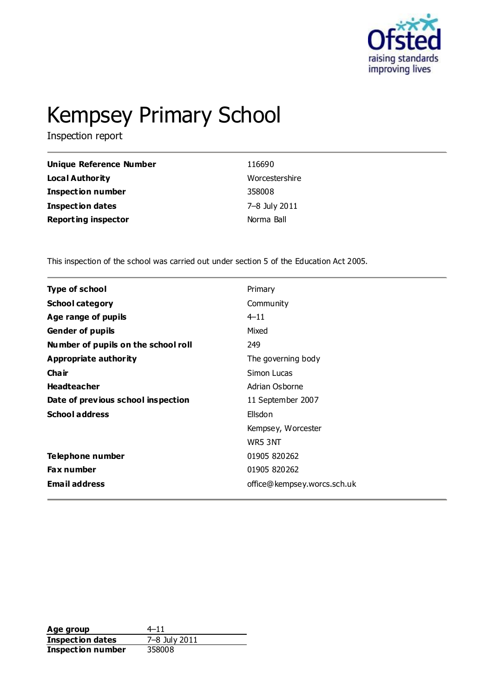

# Kempsey Primary School

Inspection report

| Unique Reference Number    | 116690         |
|----------------------------|----------------|
| <b>Local Authority</b>     | Worcestershire |
| <b>Inspection number</b>   | 358008         |
| <b>Inspection dates</b>    | 7–8 July 2011  |
| <b>Reporting inspector</b> | Norma Ball     |

This inspection of the school was carried out under section 5 of the Education Act 2005.

| <b>Type of school</b>               | Primary                     |
|-------------------------------------|-----------------------------|
| <b>School category</b>              | Community                   |
| Age range of pupils                 | $4 - 11$                    |
| <b>Gender of pupils</b>             | Mixed                       |
| Number of pupils on the school roll | 249                         |
| <b>Appropriate authority</b>        | The governing body          |
| Cha ir                              | Simon Lucas                 |
| <b>Headteacher</b>                  | Adrian Osborne              |
| Date of previous school inspection  | 11 September 2007           |
| <b>School address</b>               | Ellsdon                     |
|                                     | Kempsey, Worcester          |
|                                     | WR5 3NT                     |
| Telephone number                    | 01905 820262                |
| <b>Fax number</b>                   | 01905 820262                |
| <b>Email address</b>                | office@kempsey.worcs.sch.uk |

**Age group** 4–11<br> **Inspection dates** 7–8 July 2011 **Inspection dates Inspection number** 358008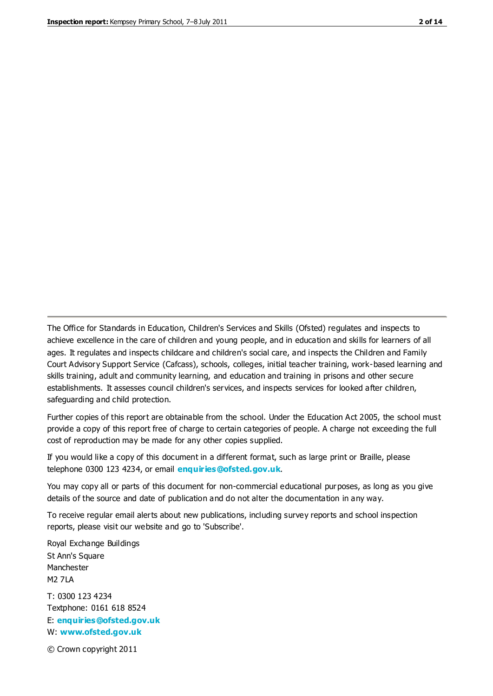The Office for Standards in Education, Children's Services and Skills (Ofsted) regulates and inspects to achieve excellence in the care of children and young people, and in education and skills for learners of all ages. It regulates and inspects childcare and children's social care, and inspects the Children and Family Court Advisory Support Service (Cafcass), schools, colleges, initial teacher training, work-based learning and skills training, adult and community learning, and education and training in prisons and other secure establishments. It assesses council children's services, and inspects services for looked after children, safeguarding and child protection.

Further copies of this report are obtainable from the school. Under the Education Act 2005, the school must provide a copy of this report free of charge to certain categories of people. A charge not exceeding the full cost of reproduction may be made for any other copies supplied.

If you would like a copy of this document in a different format, such as large print or Braille, please telephone 0300 123 4234, or email **[enquiries@ofsted.gov.uk](mailto:enquiries@ofsted.gov.uk)**.

You may copy all or parts of this document for non-commercial educational purposes, as long as you give details of the source and date of publication and do not alter the documentation in any way.

To receive regular email alerts about new publications, including survey reports and school inspection reports, please visit our website and go to 'Subscribe'.

Royal Exchange Buildings St Ann's Square Manchester M2 7LA T: 0300 123 4234 Textphone: 0161 618 8524 E: **[enquiries@ofsted.gov.uk](mailto:enquiries@ofsted.gov.uk)**

W: **[www.ofsted.gov.uk](http://www.ofsted.gov.uk/)**

© Crown copyright 2011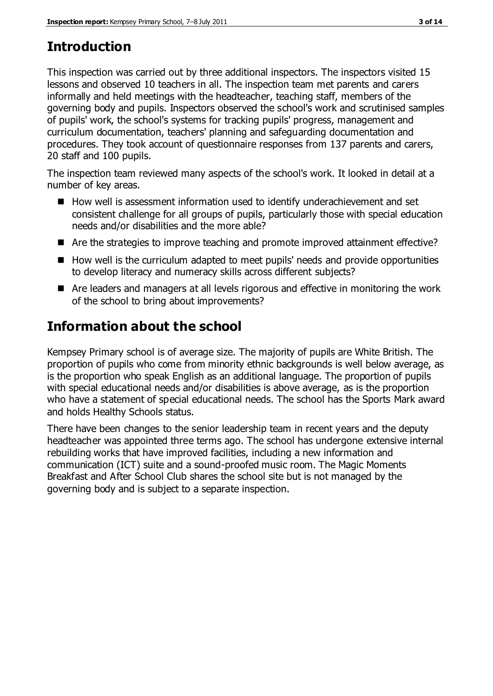# **Introduction**

This inspection was carried out by three additional inspectors. The inspectors visited 15 lessons and observed 10 teachers in all. The inspection team met parents and carers informally and held meetings with the headteacher, teaching staff, members of the governing body and pupils. Inspectors observed the school's work and scrutinised samples of pupils' work, the school's systems for tracking pupils' progress, management and curriculum documentation, teachers' planning and safeguarding documentation and procedures. They took account of questionnaire responses from 137 parents and carers, 20 staff and 100 pupils.

The inspection team reviewed many aspects of the school's work. It looked in detail at a number of key areas.

- How well is assessment information used to identify underachievement and set consistent challenge for all groups of pupils, particularly those with special education needs and/or disabilities and the more able?
- Are the strategies to improve teaching and promote improved attainment effective?
- How well is the curriculum adapted to meet pupils' needs and provide opportunities to develop literacy and numeracy skills across different subjects?
- Are leaders and managers at all levels rigorous and effective in monitoring the work of the school to bring about improvements?

# **Information about the school**

Kempsey Primary school is of average size. The majority of pupils are White British. The proportion of pupils who come from minority ethnic backgrounds is well below average, as is the proportion who speak English as an additional language. The proportion of pupils with special educational needs and/or disabilities is above average, as is the proportion who have a statement of special educational needs. The school has the Sports Mark award and holds Healthy Schools status.

There have been changes to the senior leadership team in recent years and the deputy headteacher was appointed three terms ago. The school has undergone extensive internal rebuilding works that have improved facilities, including a new information and communication (ICT) suite and a sound-proofed music room. The Magic Moments Breakfast and After School Club shares the school site but is not managed by the governing body and is subject to a separate inspection.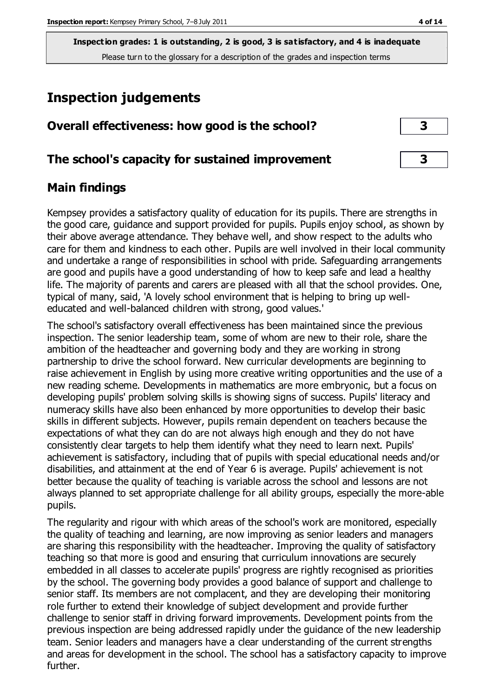**Inspection grades: 1 is outstanding, 2 is good, 3 is satisfactory, and 4 is inadequate** Please turn to the glossary for a description of the grades and inspection terms

# **Inspection judgements**

| Overall effectiveness: how good is the school? |  |
|------------------------------------------------|--|
|                                                |  |

#### **The school's capacity for sustained improvement 3**

#### **Main findings**

Kempsey provides a satisfactory quality of education for its pupils. There are strengths in the good care, guidance and support provided for pupils. Pupils enjoy school, as shown by their above average attendance. They behave well, and show respect to the adults who care for them and kindness to each other. Pupils are well involved in their local community and undertake a range of responsibilities in school with pride. Safeguarding arrangements are good and pupils have a good understanding of how to keep safe and lead a healthy life. The majority of parents and carers are pleased with all that the school provides. One, typical of many, said, 'A lovely school environment that is helping to bring up welleducated and well-balanced children with strong, good values.'

The school's satisfactory overall effectiveness has been maintained since the previous inspection. The senior leadership team, some of whom are new to their role, share the ambition of the headteacher and governing body and they are working in strong partnership to drive the school forward. New curricular developments are beginning to raise achievement in English by using more creative writing opportunities and the use of a new reading scheme. Developments in mathematics are more embryonic, but a focus on developing pupils' problem solving skills is showing signs of success. Pupils' literacy and numeracy skills have also been enhanced by more opportunities to develop their basic skills in different subjects. However, pupils remain dependent on teachers because the expectations of what they can do are not always high enough and they do not have consistently clear targets to help them identify what they need to learn next. Pupils' achievement is satisfactory, including that of pupils with special educational needs and/or disabilities, and attainment at the end of Year 6 is average. Pupils' achievement is not better because the quality of teaching is variable across the school and lessons are not always planned to set appropriate challenge for all ability groups, especially the more-able pupils.

The regularity and rigour with which areas of the school's work are monitored, especially the quality of teaching and learning, are now improving as senior leaders and managers are sharing this responsibility with the headteacher. Improving the quality of satisfactory teaching so that more is good and ensuring that curriculum innovations are securely embedded in all classes to accelerate pupils' progress are rightly recognised as priorities by the school. The governing body provides a good balance of support and challenge to senior staff. Its members are not complacent, and they are developing their monitoring role further to extend their knowledge of subject development and provide further challenge to senior staff in driving forward improvements. Development points from the previous inspection are being addressed rapidly under the guidance of the new leadership team. Senior leaders and managers have a clear understanding of the current strengths and areas for development in the school. The school has a satisfactory capacity to improve further.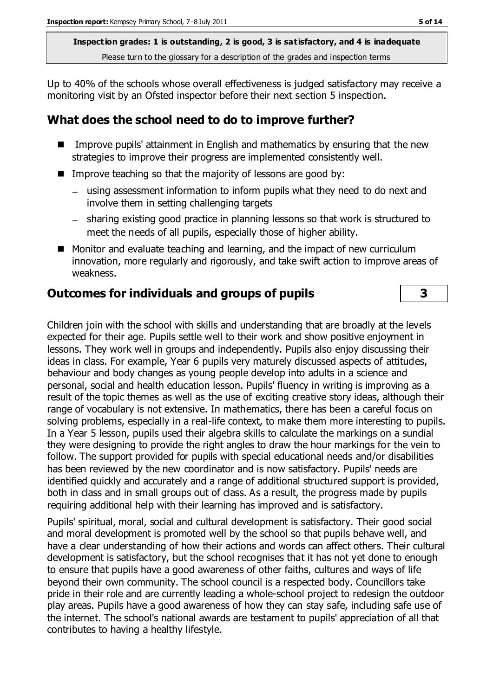**Inspection grades: 1 is outstanding, 2 is good, 3 is satisfactory, and 4 is inadequate** Please turn to the glossary for a description of the grades and inspection terms

Up to 40% of the schools whose overall effectiveness is judged satisfactory may receive a monitoring visit by an Ofsted inspector before their next section 5 inspection.

#### **What does the school need to do to improve further?**

- Improve pupils' attainment in English and mathematics by ensuring that the new strategies to improve their progress are implemented consistently well.
- Improve teaching so that the majority of lessons are good by:
	- using assessment information to inform pupils what they need to do next and involve them in setting challenging targets
	- sharing existing good practice in planning lessons so that work is structured to meet the needs of all pupils, especially those of higher ability.
- Monitor and evaluate teaching and learning, and the impact of new curriculum innovation, more regularly and rigorously, and take swift action to improve areas of weakness.

#### **Outcomes for individuals and groups of pupils 3**

Children join with the school with skills and understanding that are broadly at the levels expected for their age. Pupils settle well to their work and show positive enjoyment in lessons. They work well in groups and independently. Pupils also enjoy discussing their ideas in class. For example, Year 6 pupils very maturely discussed aspects of attitudes, behaviour and body changes as young people develop into adults in a science and personal, social and health education lesson. Pupils' fluency in writing is improving as a result of the topic themes as well as the use of exciting creative story ideas, although their range of vocabulary is not extensive. In mathematics, there has been a careful focus on solving problems, especially in a real-life context, to make them more interesting to pupils. In a Year 5 lesson, pupils used their algebra skills to calculate the markings on a sundial they were designing to provide the right angles to draw the hour markings for the vein to follow. The support provided for pupils with special educational needs and/or disabilities has been reviewed by the new coordinator and is now satisfactory. Pupils' needs are identified quickly and accurately and a range of additional structured support is provided, both in class and in small groups out of class. As a result, the progress made by pupils requiring additional help with their learning has improved and is satisfactory.

Pupils' spiritual, moral, social and cultural development is satisfactory. Their good social and moral development is promoted well by the school so that pupils behave well, and have a clear understanding of how their actions and words can affect others. Their cultural development is satisfactory, but the school recognises that it has not yet done to enough to ensure that pupils have a good awareness of other faiths, cultures and ways of life beyond their own community. The school council is a respected body. Councillors take pride in their role and are currently leading a whole-school project to redesign the outdoor play areas. Pupils have a good awareness of how they can stay safe, including safe use of the internet. The school's national awards are testament to pupils' appreciation of all that contributes to having a healthy lifestyle.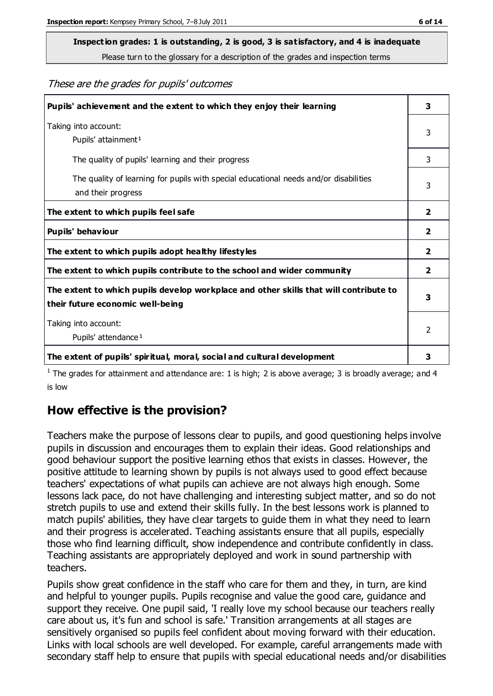Please turn to the glossary for a description of the grades and inspection terms

These are the grades for pupils' outcomes

| Pupils' achievement and the extent to which they enjoy their learning                                                     | 3              |
|---------------------------------------------------------------------------------------------------------------------------|----------------|
| Taking into account:<br>Pupils' attainment <sup>1</sup>                                                                   | 3              |
| The quality of pupils' learning and their progress                                                                        | 3              |
| The quality of learning for pupils with special educational needs and/or disabilities<br>and their progress               | 3              |
| The extent to which pupils feel safe                                                                                      | $\mathbf{2}$   |
| Pupils' behaviour                                                                                                         | 2              |
| The extent to which pupils adopt healthy lifestyles                                                                       | 2              |
| The extent to which pupils contribute to the school and wider community                                                   | $\overline{2}$ |
| The extent to which pupils develop workplace and other skills that will contribute to<br>their future economic well-being |                |
| Taking into account:<br>Pupils' attendance <sup>1</sup>                                                                   |                |
| The extent of pupils' spiritual, moral, social and cultural development                                                   | 3              |

<sup>1</sup> The grades for attainment and attendance are: 1 is high; 2 is above average; 3 is broadly average; and 4 is low

### **How effective is the provision?**

Teachers make the purpose of lessons clear to pupils, and good questioning helps involve pupils in discussion and encourages them to explain their ideas. Good relationships and good behaviour support the positive learning ethos that exists in classes. However, the positive attitude to learning shown by pupils is not always used to good effect because teachers' expectations of what pupils can achieve are not always high enough. Some lessons lack pace, do not have challenging and interesting subject matter, and so do not stretch pupils to use and extend their skills fully. In the best lessons work is planned to match pupils' abilities, they have clear targets to guide them in what they need to learn and their progress is accelerated. Teaching assistants ensure that all pupils, especially those who find learning difficult, show independence and contribute confidently in class. Teaching assistants are appropriately deployed and work in sound partnership with teachers.

Pupils show great confidence in the staff who care for them and they, in turn, are kind and helpful to younger pupils. Pupils recognise and value the good care, guidance and support they receive. One pupil said, 'I really love my school because our teachers really care about us, it's fun and school is safe.' Transition arrangements at all stages are sensitively organised so pupils feel confident about moving forward with their education. Links with local schools are well developed. For example, careful arrangements made with secondary staff help to ensure that pupils with special educational needs and/or disabilities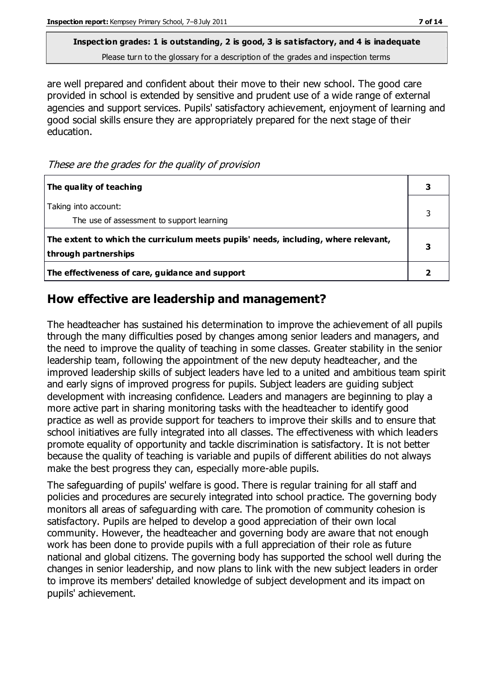Please turn to the glossary for a description of the grades and inspection terms

are well prepared and confident about their move to their new school. The good care provided in school is extended by sensitive and prudent use of a wide range of external agencies and support services. Pupils' satisfactory achievement, enjoyment of learning and good social skills ensure they are appropriately prepared for the next stage of their education.

These are the grades for the quality of provision

| The quality of teaching                                                                                    |  |
|------------------------------------------------------------------------------------------------------------|--|
| Taking into account:<br>The use of assessment to support learning                                          |  |
| The extent to which the curriculum meets pupils' needs, including, where relevant,<br>through partnerships |  |
| The effectiveness of care, guidance and support                                                            |  |

#### **How effective are leadership and management?**

The headteacher has sustained his determination to improve the achievement of all pupils through the many difficulties posed by changes among senior leaders and managers, and the need to improve the quality of teaching in some classes. Greater stability in the senior leadership team, following the appointment of the new deputy headteacher, and the improved leadership skills of subject leaders have led to a united and ambitious team spirit and early signs of improved progress for pupils. Subject leaders are guiding subject development with increasing confidence. Leaders and managers are beginning to play a more active part in sharing monitoring tasks with the headteacher to identify good practice as well as provide support for teachers to improve their skills and to ensure that school initiatives are fully integrated into all classes. The effectiveness with which leaders promote equality of opportunity and tackle discrimination is satisfactory. It is not better because the quality of teaching is variable and pupils of different abilities do not always make the best progress they can, especially more-able pupils.

The safeguarding of pupils' welfare is good. There is regular training for all staff and policies and procedures are securely integrated into school practice. The governing body monitors all areas of safeguarding with care. The promotion of community cohesion is satisfactory. Pupils are helped to develop a good appreciation of their own local community. However, the headteacher and governing body are aware that not enough work has been done to provide pupils with a full appreciation of their role as future national and global citizens. The governing body has supported the school well during the changes in senior leadership, and now plans to link with the new subject leaders in order to improve its members' detailed knowledge of subject development and its impact on pupils' achievement.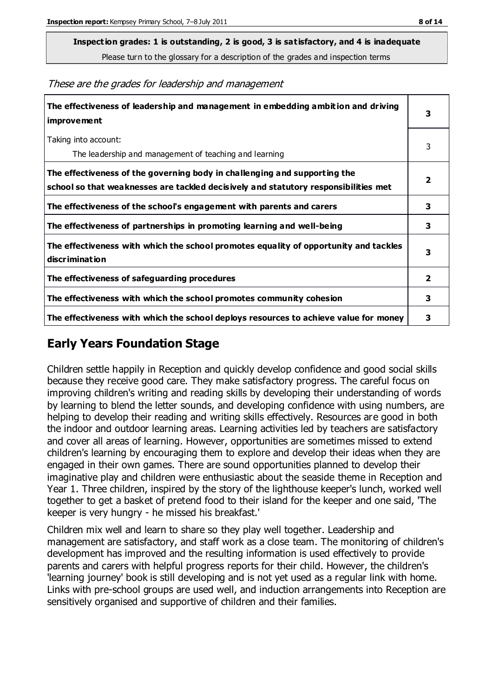Please turn to the glossary for a description of the grades and inspection terms

These are the grades for leadership and management

| The effectiveness of leadership and management in embedding ambition and driving<br><b>improvement</b>                                                           | 3                       |
|------------------------------------------------------------------------------------------------------------------------------------------------------------------|-------------------------|
| Taking into account:<br>The leadership and management of teaching and learning                                                                                   | 3                       |
| The effectiveness of the governing body in challenging and supporting the<br>school so that weaknesses are tackled decisively and statutory responsibilities met | $\overline{\mathbf{2}}$ |
| The effectiveness of the school's engagement with parents and carers                                                                                             | 3                       |
| The effectiveness of partnerships in promoting learning and well-being                                                                                           | 3                       |
| The effectiveness with which the school promotes equality of opportunity and tackles<br><b>discrimination</b>                                                    | 3                       |
| The effectiveness of safeguarding procedures                                                                                                                     | $\overline{2}$          |
| The effectiveness with which the school promotes community cohesion                                                                                              | 3                       |
| The effectiveness with which the school deploys resources to achieve value for money                                                                             | 3                       |

#### **Early Years Foundation Stage**

Children settle happily in Reception and quickly develop confidence and good social skills because they receive good care. They make satisfactory progress. The careful focus on improving children's writing and reading skills by developing their understanding of words by learning to blend the letter sounds, and developing confidence with using numbers, are helping to develop their reading and writing skills effectively. Resources are good in both the indoor and outdoor learning areas. Learning activities led by teachers are satisfactory and cover all areas of learning. However, opportunities are sometimes missed to extend children's learning by encouraging them to explore and develop their ideas when they are engaged in their own games. There are sound opportunities planned to develop their imaginative play and children were enthusiastic about the seaside theme in Reception and Year 1. Three children, inspired by the story of the lighthouse keeper's lunch, worked well together to get a basket of pretend food to their island for the keeper and one said, 'The keeper is very hungry - he missed his breakfast.'

Children mix well and learn to share so they play well together. Leadership and management are satisfactory, and staff work as a close team. The monitoring of children's development has improved and the resulting information is used effectively to provide parents and carers with helpful progress reports for their child. However, the children's 'learning journey' book is still developing and is not yet used as a regular link with home. Links with pre-school groups are used well, and induction arrangements into Reception are sensitively organised and supportive of children and their families.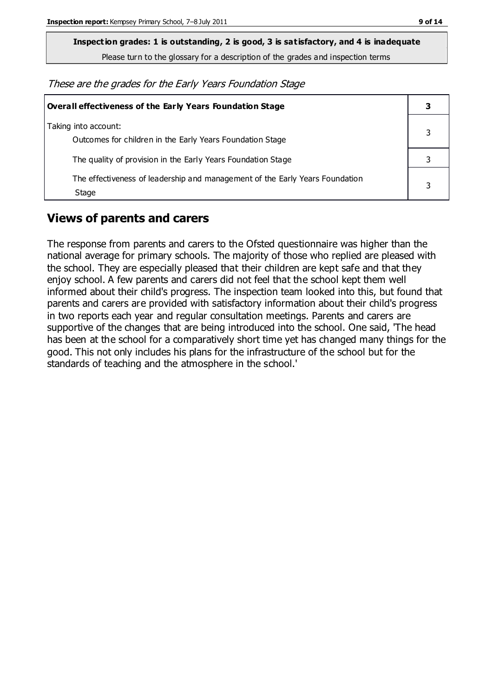Please turn to the glossary for a description of the grades and inspection terms

These are the grades for the Early Years Foundation Stage

| Overall effectiveness of the Early Years Foundation Stage                             |   |
|---------------------------------------------------------------------------------------|---|
| Taking into account:<br>Outcomes for children in the Early Years Foundation Stage     |   |
| The quality of provision in the Early Years Foundation Stage                          |   |
| The effectiveness of leadership and management of the Early Years Foundation<br>Stage | 3 |

#### **Views of parents and carers**

The response from parents and carers to the Ofsted questionnaire was higher than the national average for primary schools. The majority of those who replied are pleased with the school. They are especially pleased that their children are kept safe and that they enjoy school. A few parents and carers did not feel that the school kept them well informed about their child's progress. The inspection team looked into this, but found that parents and carers are provided with satisfactory information about their child's progress in two reports each year and regular consultation meetings. Parents and carers are supportive of the changes that are being introduced into the school. One said, 'The head has been at the school for a comparatively short time yet has changed many things for the good. This not only includes his plans for the infrastructure of the school but for the standards of teaching and the atmosphere in the school.'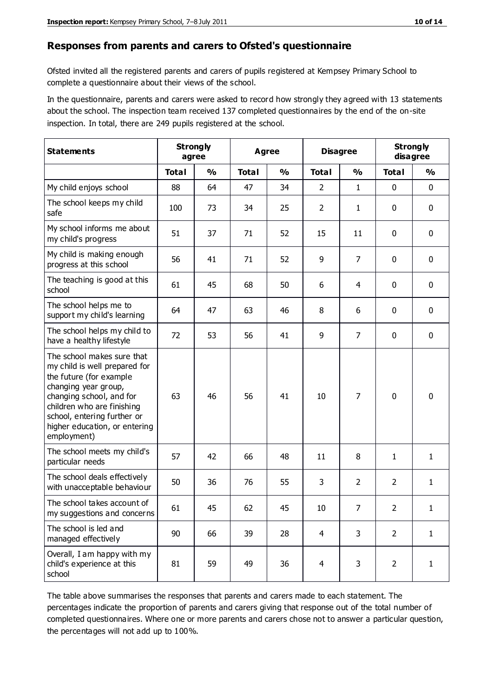#### **Responses from parents and carers to Ofsted's questionnaire**

Ofsted invited all the registered parents and carers of pupils registered at Kempsey Primary School to complete a questionnaire about their views of the school.

In the questionnaire, parents and carers were asked to record how strongly they agreed with 13 statements about the school. The inspection team received 137 completed questionnaires by the end of the on-site inspection. In total, there are 249 pupils registered at the school.

| <b>Statements</b>                                                                                                                                                                                                                                       | <b>Strongly</b><br><b>Agree</b><br>agree |               |              | <b>Disagree</b> |                | <b>Strongly</b><br>disagree |                |              |
|---------------------------------------------------------------------------------------------------------------------------------------------------------------------------------------------------------------------------------------------------------|------------------------------------------|---------------|--------------|-----------------|----------------|-----------------------------|----------------|--------------|
|                                                                                                                                                                                                                                                         | <b>Total</b>                             | $\frac{1}{2}$ | <b>Total</b> | $\frac{1}{2}$   | <b>Total</b>   | $\frac{1}{2}$               | <b>Total</b>   | %            |
| My child enjoys school                                                                                                                                                                                                                                  | 88                                       | 64            | 47           | 34              | $\overline{2}$ | $\mathbf{1}$                | $\mathbf 0$    | $\mathbf 0$  |
| The school keeps my child<br>safe                                                                                                                                                                                                                       | 100                                      | 73            | 34           | 25              | $\overline{2}$ | $\mathbf{1}$                | 0              | $\mathbf 0$  |
| My school informs me about<br>my child's progress                                                                                                                                                                                                       | 51                                       | 37            | 71           | 52              | 15             | 11                          | 0              | $\mathbf 0$  |
| My child is making enough<br>progress at this school                                                                                                                                                                                                    | 56                                       | 41            | 71           | 52              | 9              | 7                           | $\mathbf 0$    | $\mathbf 0$  |
| The teaching is good at this<br>school                                                                                                                                                                                                                  | 61                                       | 45            | 68           | 50              | 6              | 4                           | $\mathbf 0$    | $\mathbf 0$  |
| The school helps me to<br>support my child's learning                                                                                                                                                                                                   | 64                                       | 47            | 63           | 46              | 8              | 6                           | $\mathbf 0$    | $\mathbf 0$  |
| The school helps my child to<br>have a healthy lifestyle                                                                                                                                                                                                | 72                                       | 53            | 56           | 41              | 9              | $\overline{7}$              | $\mathbf 0$    | $\mathbf 0$  |
| The school makes sure that<br>my child is well prepared for<br>the future (for example<br>changing year group,<br>changing school, and for<br>children who are finishing<br>school, entering further or<br>higher education, or entering<br>employment) | 63                                       | 46            | 56           | 41              | 10             | 7                           | $\mathbf 0$    | $\mathbf 0$  |
| The school meets my child's<br>particular needs                                                                                                                                                                                                         | 57                                       | 42            | 66           | 48              | 11             | 8                           | 1              | $\mathbf{1}$ |
| The school deals effectively<br>with unacceptable behaviour                                                                                                                                                                                             | 50                                       | 36            | 76           | 55              | 3              | $\overline{2}$              | $\overline{2}$ | $\mathbf{1}$ |
| The school takes account of<br>my suggestions and concerns                                                                                                                                                                                              | 61                                       | 45            | 62           | 45              | $10\,$         | $\overline{7}$              | $\overline{2}$ | 1            |
| The school is led and<br>managed effectively                                                                                                                                                                                                            | 90                                       | 66            | 39           | 28              | 4              | 3                           | $\overline{2}$ | $\mathbf{1}$ |
| Overall, I am happy with my<br>child's experience at this<br>school                                                                                                                                                                                     | 81                                       | 59            | 49           | 36              | 4              | 3                           | $\overline{2}$ | $\mathbf{1}$ |

The table above summarises the responses that parents and carers made to each statement. The percentages indicate the proportion of parents and carers giving that response out of the total number of completed questionnaires. Where one or more parents and carers chose not to answer a particular question, the percentages will not add up to 100%.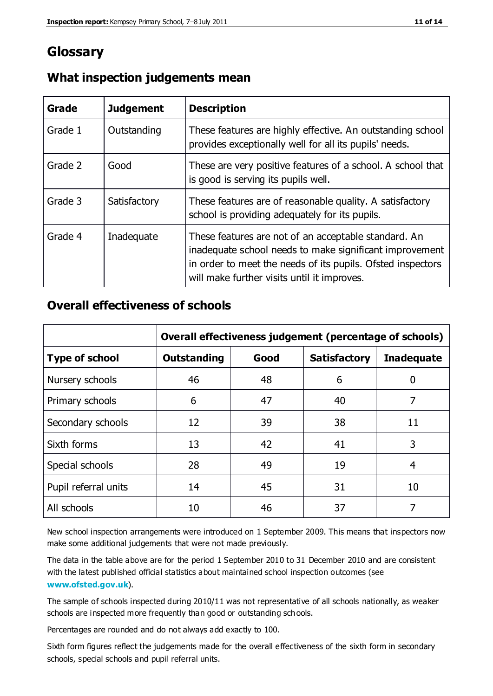## **Glossary**

| Grade   | <b>Judgement</b> | <b>Description</b>                                                                                                                                                                                                            |
|---------|------------------|-------------------------------------------------------------------------------------------------------------------------------------------------------------------------------------------------------------------------------|
| Grade 1 | Outstanding      | These features are highly effective. An outstanding school<br>provides exceptionally well for all its pupils' needs.                                                                                                          |
| Grade 2 | Good             | These are very positive features of a school. A school that<br>is good is serving its pupils well.                                                                                                                            |
| Grade 3 | Satisfactory     | These features are of reasonable quality. A satisfactory<br>school is providing adequately for its pupils.                                                                                                                    |
| Grade 4 | Inadequate       | These features are not of an acceptable standard. An<br>inadequate school needs to make significant improvement<br>in order to meet the needs of its pupils. Ofsted inspectors<br>will make further visits until it improves. |

#### **What inspection judgements mean**

#### **Overall effectiveness of schools**

|                       | Overall effectiveness judgement (percentage of schools) |      |                     |                   |
|-----------------------|---------------------------------------------------------|------|---------------------|-------------------|
| <b>Type of school</b> | <b>Outstanding</b>                                      | Good | <b>Satisfactory</b> | <b>Inadequate</b> |
| Nursery schools       | 46                                                      | 48   | 6                   |                   |
| Primary schools       | 6                                                       | 47   | 40                  | 7                 |
| Secondary schools     | 12                                                      | 39   | 38                  | 11                |
| Sixth forms           | 13                                                      | 42   | 41                  | 3                 |
| Special schools       | 28                                                      | 49   | 19                  | 4                 |
| Pupil referral units  | 14                                                      | 45   | 31                  | 10                |
| All schools           | 10                                                      | 46   | 37                  |                   |

New school inspection arrangements were introduced on 1 September 2009. This means that inspectors now make some additional judgements that were not made previously.

The data in the table above are for the period 1 September 2010 to 31 December 2010 and are consistent with the latest published official statistics about maintained school inspection outcomes (see **[www.ofsted.gov.uk](http://www.ofsted.gov.uk/)**).

The sample of schools inspected during 2010/11 was not representative of all schools nationally, as weaker schools are inspected more frequently than good or outstanding schools.

Percentages are rounded and do not always add exactly to 100.

Sixth form figures reflect the judgements made for the overall effectiveness of the sixth form in secondary schools, special schools and pupil referral units.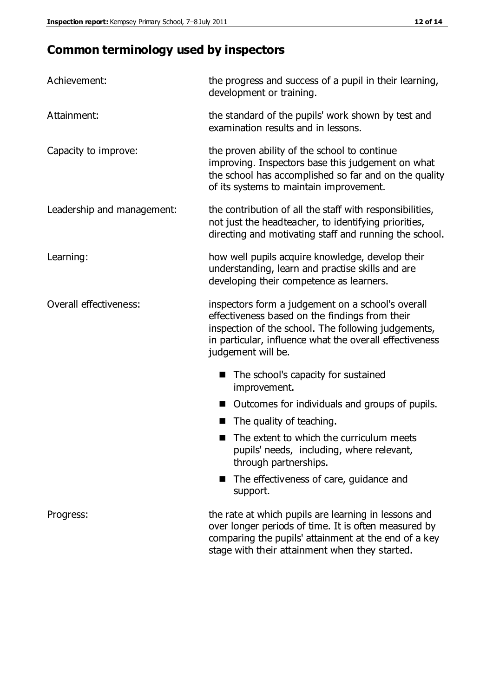# **Common terminology used by inspectors**

| Achievement:               | the progress and success of a pupil in their learning,<br>development or training.                                                                                                                                                          |  |  |
|----------------------------|---------------------------------------------------------------------------------------------------------------------------------------------------------------------------------------------------------------------------------------------|--|--|
| Attainment:                | the standard of the pupils' work shown by test and<br>examination results and in lessons.                                                                                                                                                   |  |  |
| Capacity to improve:       | the proven ability of the school to continue<br>improving. Inspectors base this judgement on what<br>the school has accomplished so far and on the quality<br>of its systems to maintain improvement.                                       |  |  |
| Leadership and management: | the contribution of all the staff with responsibilities,<br>not just the headteacher, to identifying priorities,<br>directing and motivating staff and running the school.                                                                  |  |  |
| Learning:                  | how well pupils acquire knowledge, develop their<br>understanding, learn and practise skills and are<br>developing their competence as learners.                                                                                            |  |  |
| Overall effectiveness:     | inspectors form a judgement on a school's overall<br>effectiveness based on the findings from their<br>inspection of the school. The following judgements,<br>in particular, influence what the overall effectiveness<br>judgement will be. |  |  |
|                            | The school's capacity for sustained<br>improvement.                                                                                                                                                                                         |  |  |
|                            | Outcomes for individuals and groups of pupils.                                                                                                                                                                                              |  |  |
|                            | The quality of teaching.                                                                                                                                                                                                                    |  |  |
|                            | The extent to which the curriculum meets<br>pupils' needs, including, where relevant,<br>through partnerships.                                                                                                                              |  |  |
|                            | The effectiveness of care, guidance and<br>support.                                                                                                                                                                                         |  |  |
| Progress:                  | the rate at which pupils are learning in lessons and<br>over longer periods of time. It is often measured by<br>comparing the pupils' attainment at the end of a key                                                                        |  |  |

stage with their attainment when they started.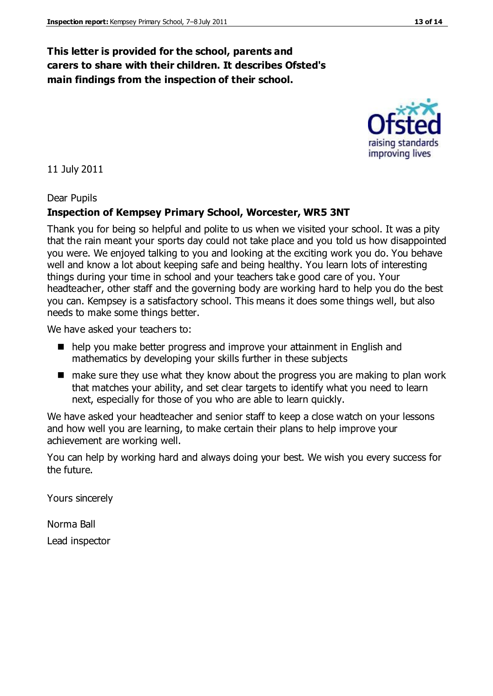#### **This letter is provided for the school, parents and carers to share with their children. It describes Ofsted's main findings from the inspection of their school.**

11 July 2011

Dear Pupils

#### **Inspection of Kempsey Primary School, Worcester, WR5 3NT**

Thank you for being so helpful and polite to us when we visited your school. It was a pity that the rain meant your sports day could not take place and you told us how disappointed you were. We enjoyed talking to you and looking at the exciting work you do. You behave well and know a lot about keeping safe and being healthy. You learn lots of interesting things during your time in school and your teachers take good care of you. Your headteacher, other staff and the governing body are working hard to help you do the best you can. Kempsey is a satisfactory school. This means it does some things well, but also needs to make some things better.

We have asked your teachers to:

- help you make better progress and improve your attainment in English and mathematics by developing your skills further in these subjects
- $\blacksquare$  make sure they use what they know about the progress you are making to plan work that matches your ability, and set clear targets to identify what you need to learn next, especially for those of you who are able to learn quickly.

We have asked your headteacher and senior staff to keep a close watch on your lessons and how well you are learning, to make certain their plans to help improve your achievement are working well.

You can help by working hard and always doing your best. We wish you every success for the future.

Yours sincerely

Norma Ball Lead inspector